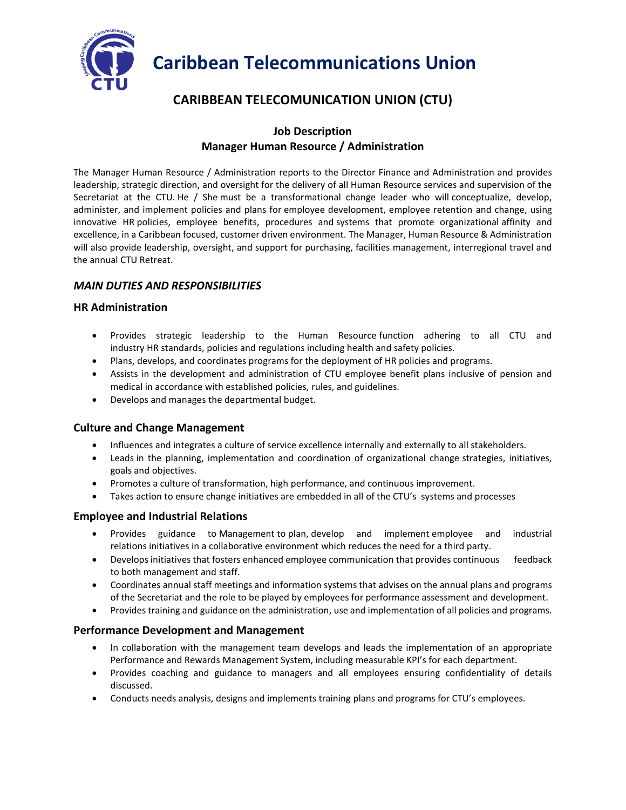

# **Caribbean Telecommunications Union**

# **CARIBBEAN TELECOMUNICATION UNION (CTU)**

# **Job Description Manager Human Resource / Administration**

The Manager Human Resource / Administration reports to the Director Finance and Administration and provides leadership, strategic direction, and oversight for the delivery of all Human Resource services and supervision of the Secretariat at the CTU. He / She must be a transformational change leader who will conceptualize, develop, administer, and implement policies and plans for employee development, employee retention and change, using innovative HR policies, employee benefits, procedures and systems that promote organizational affinity and excellence, in a Caribbean focused, customer driven environment. The Manager, Human Resource & Administration will also provide leadership, oversight, and support for purchasing, facilities management, interregional travel and the annual CTU Retreat.

# *MAIN DUTIES AND RESPONSIBILITIES*

### **HR Administration**

- Provides strategic leadership to the Human Resource function adhering to all CTU and industry HR standards, policies and regulations including health and safety policies.
- Plans, develops, and coordinates programs for the deployment of HR policies and programs.
- Assists in the development and administration of CTU employee benefit plans inclusive of pension and medical in accordance with established policies, rules, and guidelines.
- Develops and manages the departmental budget.

### **Culture and Change Management**

- Influences and integrates a culture of service excellence internally and externally to all stakeholders.
- Leads in the planning, implementation and coordination of organizational change strategies, initiatives, goals and objectives.
- Promotes a culture of transformation, high performance, and continuous improvement.
- Takes action to ensure change initiatives are embedded in all of the CTU's systems and processes

### **Employee and Industrial Relations**

- Provides guidance to Management to plan, develop and implement employee and industrial relations initiatives in a collaborative environment which reduces the need for a third party.
- Develops initiatives that fosters enhanced employee communication that provides continuous feedback to both management and staff.
- Coordinates annual staff meetings and information systems that advises on the annual plans and programs of the Secretariat and the role to be played by employees for performance assessment and development.
- Provides training and guidance on the administration, use and implementation of all policies and programs.

### **Performance Development and Management**

- In collaboration with the management team develops and leads the implementation of an appropriate Performance and Rewards Management System, including measurable KPI's for each department.
- Provides coaching and guidance to managers and all employees ensuring confidentiality of details discussed.
- Conducts needs analysis, designs and implements training plans and programs for CTU's employees.